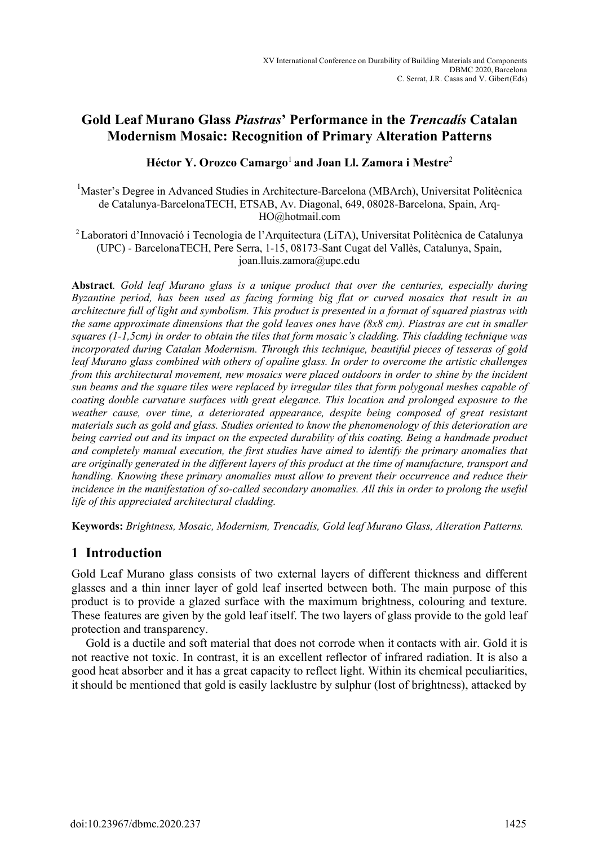# **Gold Leaf Murano Glass** *Piastras***' Performance in the** *Trencadís* **Catalan Modernism Mosaic: Recognition of Primary Alteration Patterns**

# **Héctor Y. Orozco Camargo**<sup>1</sup>**and Joan Ll. Zamora i Mestre**<sup>2</sup>

<sup>1</sup>Master's Degree in Advanced Studies in Architecture-Barcelona (MBArch), Universitat Politècnica de Catalunya-BarcelonaTECH, ETSAB, Av. Diagonal, 649, 08028-Barcelona, Spain, Arq-HO@hotmail.com

<sup>2</sup>Laboratori d'Innovació i Tecnologia de l'Arquitectura (LiTA), Universitat Politècnica de Catalunya (UPC) - BarcelonaTECH, Pere Serra, 1-15, 08173-Sant Cugat del Vallès, Catalunya, Spain, joan.lluis.zamora@upc.edu

**Abstract***. Gold leaf Murano glass is a unique product that over the centuries, especially during Byzantine period, has been used as facing forming big flat or curved mosaics that result in an architecture full of light and symbolism. This product is presented in a format of squared piastras with the same approximate dimensions that the gold leaves ones have (8x8 cm). Piastras are cut in smaller squares (1-1,5cm) in order to obtain the tiles that form mosaic's cladding. This cladding technique was incorporated during Catalan Modernism. Through this technique, beautiful pieces of tesseras of gold leaf Murano glass combined with others of opaline glass. In order to overcome the artistic challenges from this architectural movement, new mosaics were placed outdoors in order to shine by the incident sun beams and the square tiles were replaced by irregular tiles that form polygonal meshes capable of coating double curvature surfaces with great elegance. This location and prolonged exposure to the weather cause, over time, a deteriorated appearance, despite being composed of great resistant materials such as gold and glass. Studies oriented to know the phenomenology of this deterioration are being carried out and its impact on the expected durability of this coating. Being a handmade product and completely manual execution, the first studies have aimed to identify the primary anomalies that*  are originally generated in the different layers of this product at the time of manufacture, transport and *handling. Knowing these primary anomalies must allow to prevent their occurrence and reduce their*  incidence in the manifestation of so-called secondary anomalies. All this in order to prolong the useful *life of this appreciated architectural cladding.*

**Keywords:** *Brightness, Mosaic, Modernism, Trencadís, Gold leaf Murano Glass, Alteration Patterns.*

# **1 Introduction**

Gold Leaf Murano glass consists of two external layers of different thickness and different glasses and a thin inner layer of gold leaf inserted between both. The main purpose of this product is to provide a glazed surface with the maximum brightness, colouring and texture. These features are given by the gold leaf itself. The two layers of glass provide to the gold leaf protection and transparency.

Gold is a ductile and soft material that does not corrode when it contacts with air. Gold it is not reactive not toxic. In contrast, it is an excellent reflector of infrared radiation. It is also a good heat absorber and it has a great capacity to reflect light. Within its chemical peculiarities, it should be mentioned that gold is easily lacklustre by sulphur (lost of brightness), attacked by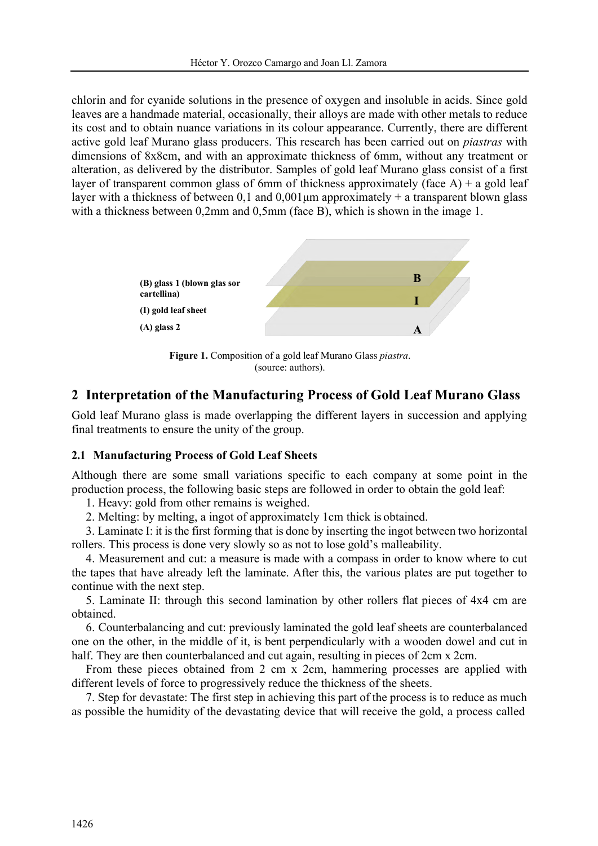chlorin and for cyanide solutions in the presence of oxygen and insoluble in acids. Since gold leaves are a handmade material, occasionally, their alloys are made with other metals to reduce its cost and to obtain nuance variations in its colour appearance. Currently, there are different active gold leaf Murano glass producers. This research has been carried out on *piastras* with dimensions of 8x8cm, and with an approximate thickness of 6mm, without any treatment or alteration, as delivered by the distributor. Samples of gold leaf Murano glass consist of a first layer of transparent common glass of 6mm of thickness approximately (face A) + a gold leaf layer with a thickness of between 0,1 and  $0.001 \mu m$  approximately + a transparent blown glass with a thickness between 0,2mm and 0,5mm (face B), which is shown in the image 1.



**Figure 1.** Composition of a gold leaf Murano Glass *piastra*. (source: authors).

# **2 Interpretation of the Manufacturing Process of Gold Leaf Murano Glass**

Gold leaf Murano glass is made overlapping the different layers in succession and applying final treatments to ensure the unity of the group.

## **2.1 Manufacturing Process of Gold Leaf Sheets**

Mestre

Although there are some small variations specific to each company at some point in the production process, the following basic steps are followed in order to obtain the gold leaf:

1. Heavy: gold from other remains is weighed.

2. Melting: by melting, a ingot of approximately 1cm thick is obtained.

3. Laminate I: it isthe first forming that is done by inserting the ingot between two horizontal rollers. This process is done very slowly so as not to lose gold's malleability.

4. Measurement and cut: a measure is made with a compass in order to know where to cut the tapes that have already left the laminate. After this, the various plates are put together to continue with the next step.

5. Laminate II: through this second lamination by other rollers flat pieces of 4x4 cm are obtained.

6. Counterbalancing and cut: previously laminated the gold leaf sheets are counterbalanced one on the other, in the middle of it, is bent perpendicularly with a wooden dowel and cut in half. They are then counterbalanced and cut again, resulting in pieces of 2cm x 2cm.

From these pieces obtained from 2 cm x 2cm, hammering processes are applied with different levels of force to progressively reduce the thickness of the sheets.

7. Step for devastate: The first step in achieving this part of the process is to reduce as much as possible the humidity of the devastating device that will receive the gold, a process called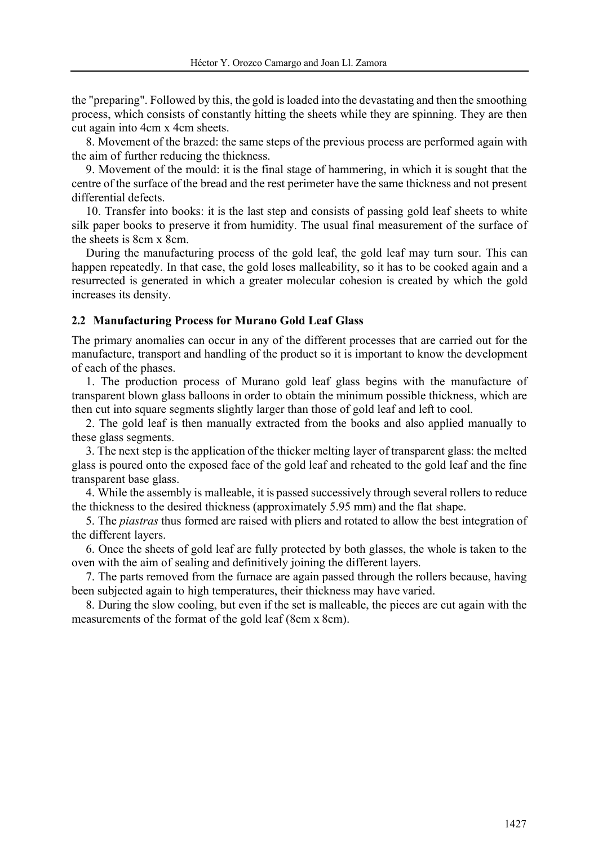the "preparing". Followed by this, the gold isloaded into the devastating and then the smoothing process, which consists of constantly hitting the sheets while they are spinning. They are then cut again into 4cm x 4cm sheets.

8. Movement of the brazed: the same steps of the previous process are performed again with the aim of further reducing the thickness.

9. Movement of the mould: it is the final stage of hammering, in which it is sought that the centre of the surface of the bread and the rest perimeter have the same thickness and not present differential defects.

10. Transfer into books: it is the last step and consists of passing gold leaf sheets to white silk paper books to preserve it from humidity. The usual final measurement of the surface of the sheets is 8cm x 8cm.

During the manufacturing process of the gold leaf, the gold leaf may turn sour. This can happen repeatedly. In that case, the gold loses malleability, so it has to be cooked again and a resurrected is generated in which a greater molecular cohesion is created by which the gold increases its density.

### **2.2 Manufacturing Process for Murano Gold Leaf Glass**

Mestre

The primary anomalies can occur in any of the different processes that are carried out for the manufacture, transport and handling of the product so it is important to know the development of each of the phases.

1. The production process of Murano gold leaf glass begins with the manufacture of transparent blown glass balloons in order to obtain the minimum possible thickness, which are then cut into square segments slightly larger than those of gold leaf and left to cool.

2. The gold leaf is then manually extracted from the books and also applied manually to these glass segments.

3. The next step isthe application of the thicker melting layer of transparent glass: the melted glass is poured onto the exposed face of the gold leaf and reheated to the gold leaf and the fine transparent base glass.

4. While the assembly is malleable, it is passed successively through several rollers to reduce the thickness to the desired thickness (approximately 5.95 mm) and the flat shape.

5. The *piastras* thus formed are raised with pliers and rotated to allow the best integration of the different layers.

6. Once the sheets of gold leaf are fully protected by both glasses, the whole is taken to the oven with the aim of sealing and definitively joining the different layers.

7. The parts removed from the furnace are again passed through the rollers because, having been subjected again to high temperatures, their thickness may have varied.

8. During the slow cooling, but even if the set is malleable, the pieces are cut again with the measurements of the format of the gold leaf (8cm x 8cm).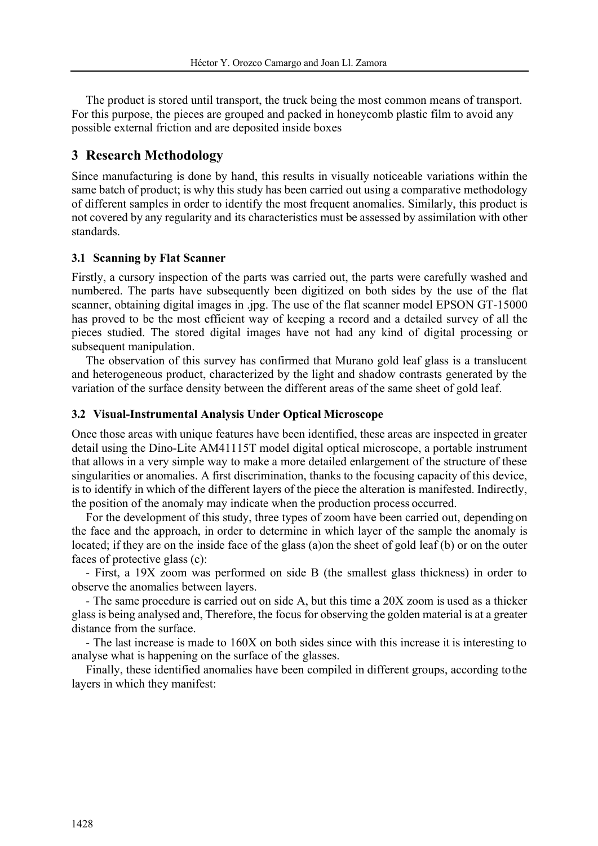The product is stored until transport, the truck being the most common means of transport. For this purpose, the pieces are grouped and packed in honeycomb plastic film to avoid any possible external friction and are deposited inside boxes

## **3 Research Methodology**

Mestre

Since manufacturing is done by hand, this results in visually noticeable variations within the same batch of product; is why this study has been carried out using a comparative methodology of different samples in order to identify the most frequent anomalies. Similarly, this product is not covered by any regularity and its characteristics must be assessed by assimilation with other standards.

### **3.1 Scanning by Flat Scanner**

Firstly, a cursory inspection of the parts was carried out, the parts were carefully washed and numbered. The parts have subsequently been digitized on both sides by the use of the flat scanner, obtaining digital images in .jpg. The use of the flat scanner model EPSON GT-15000 has proved to be the most efficient way of keeping a record and a detailed survey of all the pieces studied. The stored digital images have not had any kind of digital processing or subsequent manipulation.

The observation of this survey has confirmed that Murano gold leaf glass is a translucent and heterogeneous product, characterized by the light and shadow contrasts generated by the variation of the surface density between the different areas of the same sheet of gold leaf.

### **3.2 Visual-Instrumental Analysis Under Optical Microscope**

Once those areas with unique features have been identified, these areas are inspected in greater detail using the Dino-Lite AM41115T model digital optical microscope, a portable instrument that allows in a very simple way to make a more detailed enlargement of the structure of these singularities or anomalies. A first discrimination, thanks to the focusing capacity of this device, is to identify in which of the different layers of the piece the alteration is manifested. Indirectly, the position of the anomaly may indicate when the production process occurred.

For the development of this study, three types of zoom have been carried out, depending on the face and the approach, in order to determine in which layer of the sample the anomaly is located; if they are on the inside face of the glass (a)on the sheet of gold leaf (b) or on the outer faces of protective glass (c):

- First, a 19X zoom was performed on side B (the smallest glass thickness) in order to observe the anomalies between layers.

- The same procedure is carried out on side A, but this time a 20X zoom is used as a thicker glass is being analysed and, Therefore, the focus for observing the golden material is at a greater distance from the surface.

- The last increase is made to 160X on both sides since with this increase it is interesting to analyse what is happening on the surface of the glasses.

Finally, these identified anomalies have been compiled in different groups, according tothe layers in which they manifest: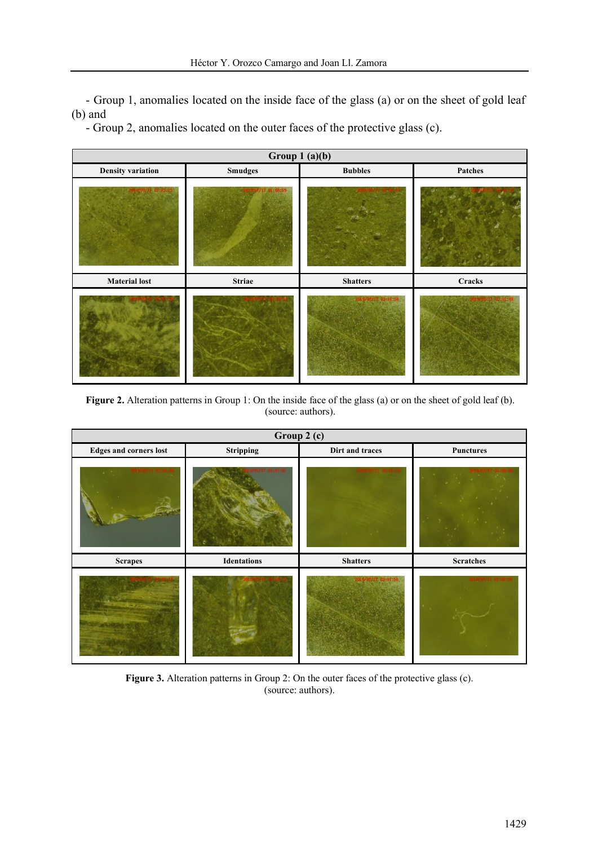- Group 1, anomalies located on the inside face of the glass (a) or on the sheet of gold leaf (b) and

- Group 2, anomalies located on the outer faces of the protective glass (c).

Mestre



**Figure 2.** Alteration patterns in Group 1: On the inside face of the glass (a) or on the sheet of gold leaf (b). (source: authors).

| Group 2 (c)                   |                    |                 |                  |
|-------------------------------|--------------------|-----------------|------------------|
| <b>Edges and corners lost</b> | Stripping          | Dirt and traces | <b>Punctures</b> |
|                               |                    |                 |                  |
| <b>Scrapes</b>                | <b>Identations</b> | <b>Shatters</b> | <b>Scratches</b> |
|                               |                    |                 |                  |

Figure 3. Alteration patterns in Group 2: On the outer faces of the protective glass (c). (source: authors).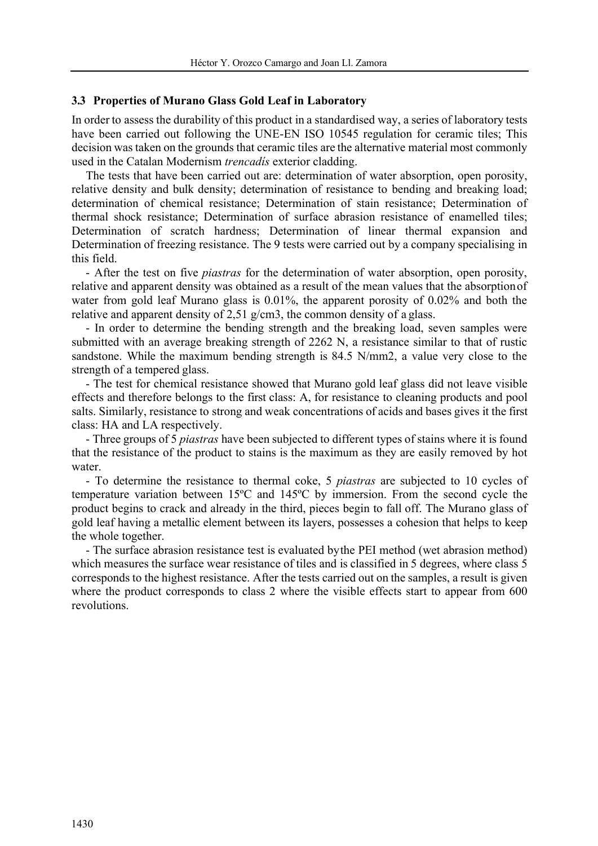#### **3.3 Properties of Murano Glass Gold Leaf in Laboratory**

Mestre

In order to assess the durability of this product in a standardised way, a series of laboratory tests have been carried out following the UNE-EN ISO 10545 regulation for ceramic tiles; This decision wastaken on the grounds that ceramic tiles are the alternative material most commonly used in the Catalan Modernism *trencadís* exterior cladding.

The tests that have been carried out are: determination of water absorption, open porosity, relative density and bulk density; determination of resistance to bending and breaking load; determination of chemical resistance; Determination of stain resistance; Determination of thermal shock resistance; Determination of surface abrasion resistance of enamelled tiles; Determination of scratch hardness; Determination of linear thermal expansion and Determination of freezing resistance. The 9 tests were carried out by a company specialising in this field.

- After the test on five *piastras* for the determination of water absorption, open porosity, relative and apparent density was obtained as a result of the mean values that the absorptionof water from gold leaf Murano glass is 0.01%, the apparent porosity of 0.02% and both the relative and apparent density of 2,51 g/cm3, the common density of a glass.

- In order to determine the bending strength and the breaking load, seven samples were submitted with an average breaking strength of 2262 N, a resistance similar to that of rustic sandstone. While the maximum bending strength is 84.5 N/mm2, a value very close to the strength of a tempered glass.

- The test for chemical resistance showed that Murano gold leaf glass did not leave visible effects and therefore belongs to the first class: A, for resistance to cleaning products and pool salts. Similarly, resistance to strong and weak concentrations of acids and bases gives it the first class: HA and LA respectively.

- Three groups of 5 *piastras* have been subjected to different types of stains where it is found that the resistance of the product to stains is the maximum as they are easily removed by hot water.

- To determine the resistance to thermal coke, 5 *piastras* are subjected to 10 cycles of temperature variation between 15ºC and 145ºC by immersion. From the second cycle the product begins to crack and already in the third, pieces begin to fall off. The Murano glass of gold leaf having a metallic element between its layers, possesses a cohesion that helps to keep the whole together.

- The surface abrasion resistance test is evaluated bythe PEI method (wet abrasion method) which measures the surface wear resistance of tiles and is classified in 5 degrees, where class 5 corresponds to the highest resistance. After the tests carried out on the samples, a result is given where the product corresponds to class 2 where the visible effects start to appear from 600 revolutions.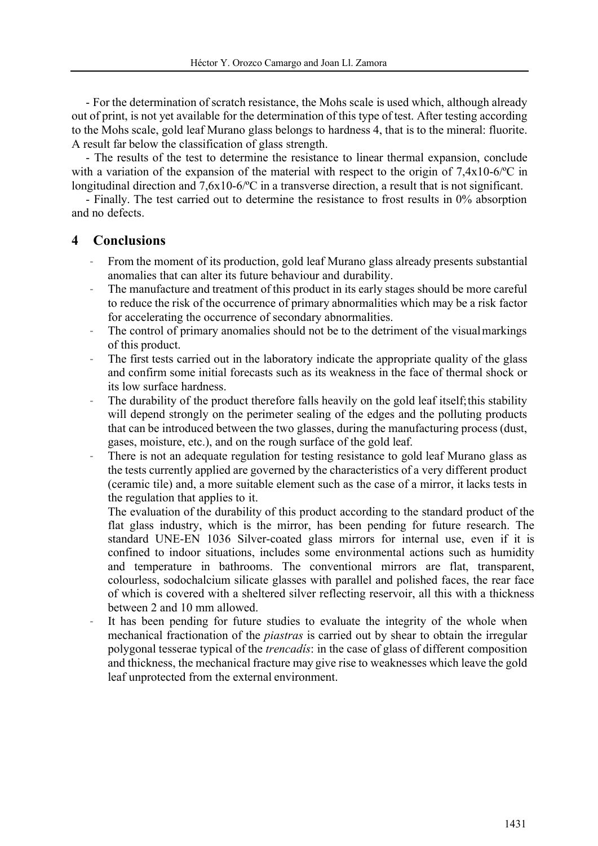Mestre

- For the determination of scratch resistance, the Mohs scale is used which, although already out of print, is not yet available for the determination of this type of test. After testing according to the Mohs scale, gold leaf Murano glass belongs to hardness 4, that is to the mineral: fluorite. A result far below the classification of glass strength.

- The results of the test to determine the resistance to linear thermal expansion, conclude with a variation of the expansion of the material with respect to the origin of 7,4x10-6/ °C in longitudinal direction and 7,6x10-6/ $^{\circ}$ C in a transverse direction, a result that is not significant.

- Finally. The test carried out to determine the resistance to frost results in 0% absorption and no defects.

## **4 Conclusions**

- From the moment of its production, gold leaf Murano glass already presents substantial anomalies that can alter its future behaviour and durability.
- The manufacture and treatment of this product in its early stages should be more careful to reduce the risk of the occurrence of primary abnormalities which may be a risk factor for accelerating the occurrence of secondary abnormalities.
- The control of primary anomalies should not be to the detriment of the visual markings of this product.
- The first tests carried out in the laboratory indicate the appropriate quality of the glass and confirm some initial forecasts such as its weakness in the face of thermal shock or its low surface hardness.
- The durability of the product therefore falls heavily on the gold leaf itself; this stability will depend strongly on the perimeter sealing of the edges and the polluting products that can be introduced between the two glasses, during the manufacturing process (dust, gases, moisture, etc.), and on the rough surface of the gold leaf.
- There is not an adequate regulation for testing resistance to gold leaf Murano glass as the tests currently applied are governed by the characteristics of a very different product (ceramic tile) and, a more suitable element such as the case of a mirror, it lacks tests in the regulation that applies to it.

The evaluation of the durability of this product according to the standard product of the flat glass industry, which is the mirror, has been pending for future research. The standard UNE-EN 1036 Silver-coated glass mirrors for internal use, even if it is confined to indoor situations, includes some environmental actions such as humidity and temperature in bathrooms. The conventional mirrors are flat, transparent, colourless, sodochalcium silicate glasses with parallel and polished faces, the rear face of which is covered with a sheltered silver reflecting reservoir, all this with a thickness between 2 and 10 mm allowed.

It has been pending for future studies to evaluate the integrity of the whole when mechanical fractionation of the *piastras* is carried out by shear to obtain the irregular polygonal tesserae typical of the *trencadís*: in the case of glass of different composition and thickness, the mechanical fracture may give rise to weaknesses which leave the gold leaf unprotected from the external environment.